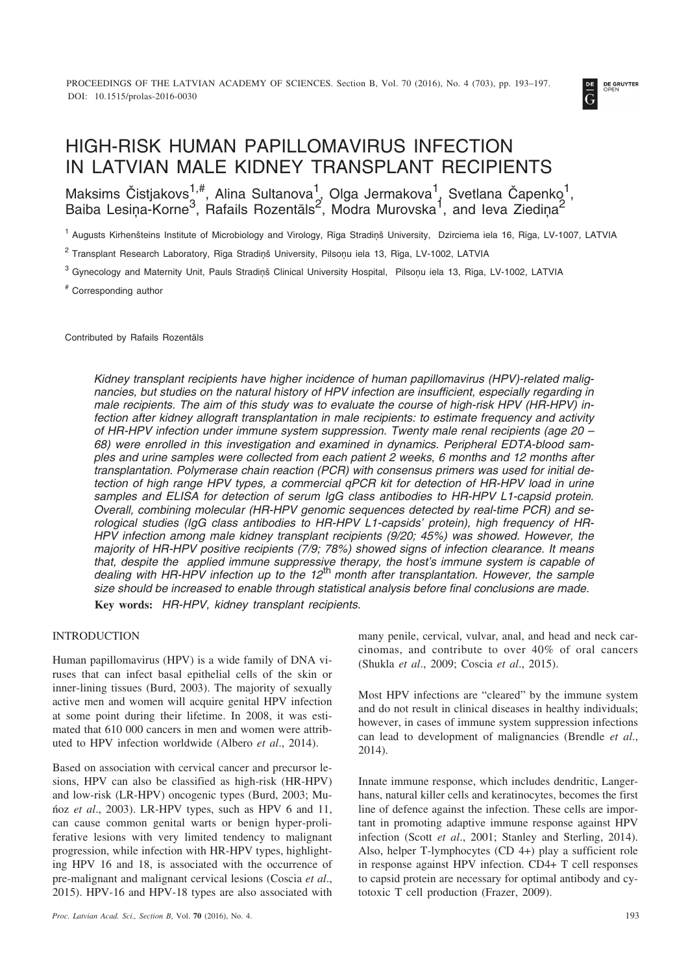

# HIGH-RISK HUMAN PAPILLOMAVIRUS INFECTION IN LATVIAN MALE KIDNEY TRANSPLANT RECIPIENTS

Maksims Čistjakovs $^{1,\#}$ , Alina Sultanova $^{1}_{\sim}$  Olga Jermakova $^{1}_{\sim}$  Svetlana Čapenko $^{1}_{\sim}$ Baiba Lesiņa-Korne<sup>3</sup>, Rafails Rozentāls<sup>2</sup>, Modra Murovska<sup>1</sup>, and Ieva Ziediņa<sup>2</sup>

<sup>1</sup> Augusts Kirhenšteins Institute of Microbiology and Virology, Rīga Stradiņš University, Dzirciema iela 16, Rīga, LV-1007, LATVIA

<sup>2</sup> Transplant Research Laboratory, Rīga Stradiņš University, Pilsoņu iela 13, Rīga, LV-1002, LATVIA

<sup>3</sup> Gynecology and Maternity Unit, Pauls Stradiņš Clinical University Hospital, Pilsoņu iela 13, Rīga, LV-1002, LATVIA

# Corresponding author

Contributed by Rafails Rozentâls

*Kidney transplant recipients have higher incidence of human papillomavirus (HPV)-related malignancies, but studies on the natural history of HPV infection are insufficient, especially regarding in male recipients. The aim of this study was to evaluate the course of high-risk HPV (HR-HPV) infection after kidney allograft transplantation in male recipients: to estimate frequency and activity of HR-HPV infection under immune system suppression. Twenty male renal recipients (age 20 – 68) were enrolled in this investigation and examined in dynamics. Peripheral EDTA-blood samples and urine samples were collected from each patient 2 weeks, 6 months and 12 months after transplantation. Polymerase chain reaction (PCR) with consensus primers was used for initial detection of high range HPV types, a commercial qPCR kit for detection of HR-HPV load in urine samples and ELISA for detection of serum IgG class antibodies to HR-HPV L1-capsid protein. Overall, combining molecular (HR-HPV genomic sequences detected by real-time PCR) and serological studies (IgG class antibodies to HR-HPV L1-capsids' protein), high frequency of HR-HPV infection among male kidney transplant recipients (9/20; 45%) was showed. However, the majority of HR-HPV positive recipients (7/9; 78%) showed signs of infection clearance. It means that, despite the applied immune suppressive therapy, the host's immune system is capable of dealing with HR-HPV infection up to the 12*th *month after transplantation. However, the sample size should be increased to enable through statistical analysis before final conclusions are made.* **Key words:** *HR-HPV, kidney transplant recipients.*

### INTRODUCTION

Human papillomavirus (HPV) is a wide family of DNA viruses that can infect basal epithelial cells of the skin or inner-lining tissues (Burd, 2003). The majority of sexually active men and women will acquire genital HPV infection at some point during their lifetime. In 2008, it was estimated that 610 000 cancers in men and women were attributed to HPV infection worldwide (Albero *et al*., 2014).

Based on association with cervical cancer and precursor lesions, HPV can also be classified as high-risk (HR-HPV) and low-risk (LR-HPV) oncogenic types (Burd, 2003; Muñoz *et al*., 2003). LR-HPV types, such as HPV 6 and 11, can cause common genital warts or benign hyper-proliferative lesions with very limited tendency to malignant progression, while infection with HR-HPV types, highlighting HPV 16 and 18, is associated with the occurrence of pre-malignant and malignant cervical lesions (Coscia *et al*., 2015). HPV-16 and HPV-18 types are also associated with

many penile, cervical, vulvar, anal, and head and neck carcinomas, and contribute to over 40% of oral cancers (Shukla *et al*., 2009; Coscia *et al*., 2015).

Most HPV infections are "cleared" by the immune system and do not result in clinical diseases in healthy individuals; however, in cases of immune system suppression infections can lead to development of malignancies (Brendle *et al*., 2014).

Innate immune response, which includes dendritic, Langerhans, natural killer cells and keratinocytes, becomes the first line of defence against the infection. These cells are important in promoting adaptive immune response against HPV infection (Scott *et al*., 2001; Stanley and Sterling, 2014). Also, helper T-lymphocytes (CD 4+) play a sufficient role in response against HPV infection. CD4+ T cell responses to capsid protein are necessary for optimal antibody and cytotoxic T cell production (Frazer, 2009).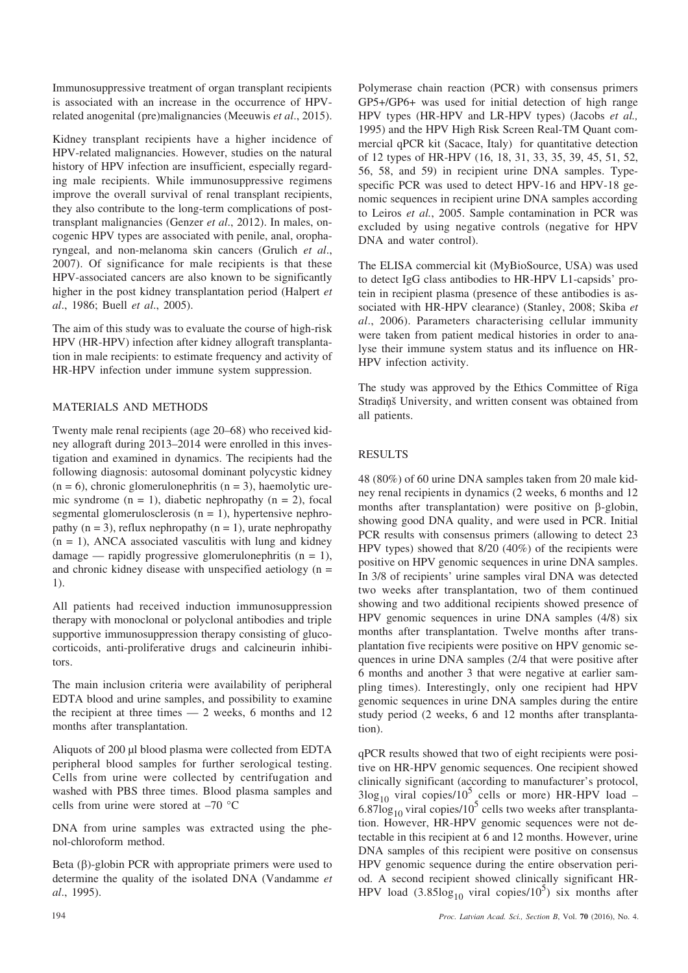Immunosuppressive treatment of organ transplant recipients is associated with an increase in the occurrence of HPVrelated anogenital (pre)malignancies (Meeuwis *et al*., 2015).

Kidney transplant recipients have a higher incidence of HPV-related malignancies. However, studies on the natural history of HPV infection are insufficient, especially regarding male recipients. While immunosuppressive regimens improve the overall survival of renal transplant recipients, they also contribute to the long-term complications of posttransplant malignancies (Genzer *et al*., 2012). In males, oncogenic HPV types are associated with penile, anal, oropharyngeal, and non-melanoma skin cancers (Grulich *et al*., 2007). Of significance for male recipients is that these HPV-associated cancers are also known to be significantly higher in the post kidney transplantation period (Halpert *et al*., 1986; Buell *et al*., 2005).

The aim of this study was to evaluate the course of high-risk HPV (HR-HPV) infection after kidney allograft transplantation in male recipients: to estimate frequency and activity of HR-HPV infection under immune system suppression.

## MATERIALS AND METHODS

Twenty male renal recipients (age 20–68) who received kidney allograft during 2013–2014 were enrolled in this investigation and examined in dynamics. The recipients had the following diagnosis: autosomal dominant polycystic kidney  $(n = 6)$ , chronic glomerulonephritis  $(n = 3)$ , haemolytic uremic syndrome  $(n = 1)$ , diabetic nephropathy  $(n = 2)$ , focal segmental glomerulosclerosis  $(n = 1)$ , hypertensive nephropathy  $(n = 3)$ , reflux nephropathy  $(n = 1)$ , urate nephropathy  $(n = 1)$ . ANCA associated vasculitis with lung and kidney damage — rapidly progressive glomerulonephritis  $(n = 1)$ , and chronic kidney disease with unspecified aetiology  $(n =$ 1).

All patients had received induction immunosuppression therapy with monoclonal or polyclonal antibodies and triple supportive immunosuppression therapy consisting of glucocorticoids, anti-proliferative drugs and calcineurin inhibitors.

The main inclusion criteria were availability of peripheral EDTA blood and urine samples, and possibility to examine the recipient at three times  $-2$  weeks, 6 months and 12 months after transplantation.

Aliquots of 200 µl blood plasma were collected from EDTA peripheral blood samples for further serological testing. Cells from urine were collected by centrifugation and washed with PBS three times. Blood plasma samples and cells from urine were stored at –70 °C

DNA from urine samples was extracted using the phenol-chloroform method.

Beta  $(\beta)$ -globin PCR with appropriate primers were used to determine the quality of the isolated DNA (Vandamme *et al*., 1995).

Polymerase chain reaction (PCR) with consensus primers GP5+/GP6+ was used for initial detection of high range HPV types (HR-HPV and LR-HPV types) (Jacobs *et al.,* 1995) and the HPV High Risk Screen Real-TM Quant commercial qPCR kit (Sacace, Italy) for quantitative detection of 12 types of HR-HPV (16, 18, 31, 33, 35, 39, 45, 51, 52, 56, 58, and 59) in recipient urine DNA samples. Typespecific PCR was used to detect HPV-16 and HPV-18 genomic sequences in recipient urine DNA samples according to Leiros *et al.*, 2005. Sample contamination in PCR was excluded by using negative controls (negative for HPV DNA and water control).

The ELISA commercial kit (MyBioSource, USA) was used to detect IgG class antibodies to HR-HPV L1-capsids' protein in recipient plasma (presence of these antibodies is associated with HR-HPV clearance) (Stanley, 2008; Skiba *et al*., 2006). Parameters characterising cellular immunity were taken from patient medical histories in order to analyse their immune system status and its influence on HR-HPV infection activity.

The study was approved by the Ethics Committee of Rîga Stradinš University, and written consent was obtained from all patients.

## RESULTS

48 (80%) of 60 urine DNA samples taken from 20 male kidney renal recipients in dynamics (2 weeks, 6 months and 12 months after transplantation) were positive on  $\beta$ -globin, showing good DNA quality, and were used in PCR. Initial PCR results with consensus primers (allowing to detect 23 HPV types) showed that 8/20 (40%) of the recipients were positive on HPV genomic sequences in urine DNA samples. In 3/8 of recipients' urine samples viral DNA was detected two weeks after transplantation, two of them continued showing and two additional recipients showed presence of HPV genomic sequences in urine DNA samples (4/8) six months after transplantation. Twelve months after transplantation five recipients were positive on HPV genomic sequences in urine DNA samples (2/4 that were positive after 6 months and another 3 that were negative at earlier sampling times). Interestingly, only one recipient had HPV genomic sequences in urine DNA samples during the entire study period (2 weeks, 6 and 12 months after transplantation).

qPCR results showed that two of eight recipients were positive on HR-HPV genomic sequences. One recipient showed clinically significant (according to manufacturer's protocol,  $3\log_{10}$  viral copies/10<sup>5</sup> cells or more) HR-HPV load – 6.87log<sub>10</sub> viral copies/10<sup>5</sup> cells two weeks after transplantation. However, HR-HPV genomic sequences were not detectable in this recipient at 6 and 12 months. However, urine DNA samples of this recipient were positive on consensus HPV genomic sequence during the entire observation period. A second recipient showed clinically significant HR-HPV load  $(3.85\log_{10} \text{ viral copies}/10^5)$  six months after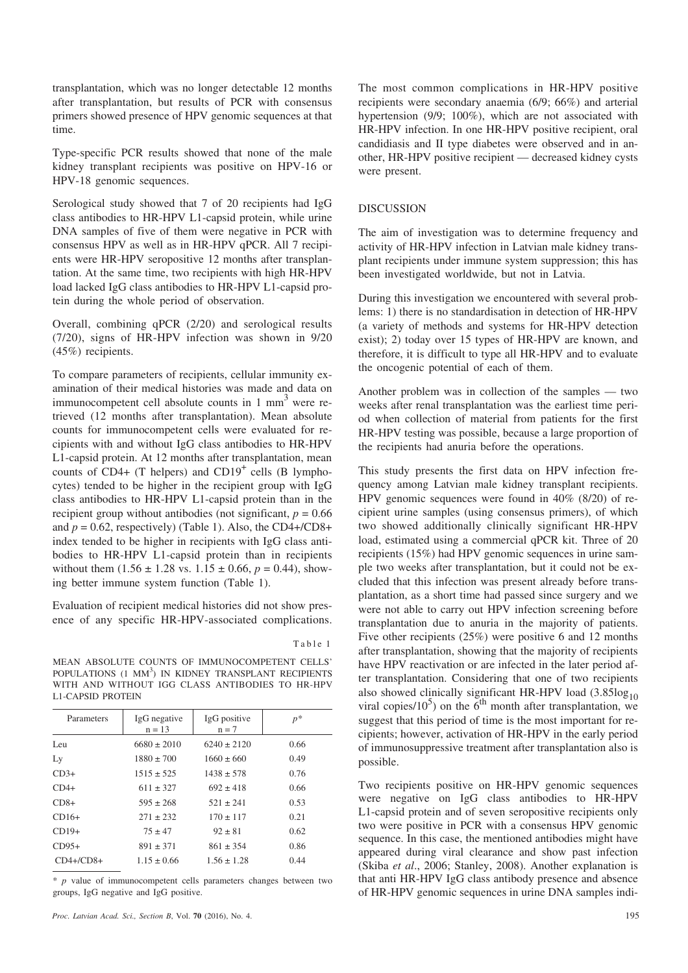transplantation, which was no longer detectable 12 months after transplantation, but results of PCR with consensus primers showed presence of HPV genomic sequences at that time.

Type-specific PCR results showed that none of the male kidney transplant recipients was positive on HPV-16 or HPV-18 genomic sequences.

Serological study showed that 7 of 20 recipients had IgG class antibodies to HR-HPV L1-capsid protein, while urine DNA samples of five of them were negative in PCR with consensus HPV as well as in HR-HPV qPCR. All 7 recipients were HR-HPV seropositive 12 months after transplantation. At the same time, two recipients with high HR-HPV load lacked IgG class antibodies to HR-HPV L1-capsid protein during the whole period of observation.

Overall, combining qPCR (2/20) and serological results (7/20), signs of HR-HPV infection was shown in 9/20 (45%) recipients.

To compare parameters of recipients, cellular immunity examination of their medical histories was made and data on immunocompetent cell absolute counts in 1 mm<sup>3</sup> were retrieved (12 months after transplantation). Mean absolute counts for immunocompetent cells were evaluated for recipients with and without IgG class antibodies to HR-HPV L1-capsid protein. At 12 months after transplantation, mean counts of CD4+ (T helpers) and  $CD19<sup>+</sup>$  cells (B lymphocytes) tended to be higher in the recipient group with IgG class antibodies to HR-HPV L1-capsid protein than in the recipient group without antibodies (not significant,  $p = 0.66$ ) and  $p = 0.62$ , respectively) (Table 1). Also, the CD4+/CD8+ index tended to be higher in recipients with IgG class antibodies to HR-HPV L1-capsid protein than in recipients without them  $(1.56 \pm 1.28 \text{ vs. } 1.15 \pm 0.66, p = 0.44)$ , showing better immune system function (Table 1).

Evaluation of recipient medical histories did not show presence of any specific HR-HPV-associated complications.

Table 1

MEAN ABSOLUTE COUNTS OF IMMUNOCOMPETENT CELLS' POPULATIONS (1 MM<sup>3</sup>) IN KIDNEY TRANSPLANT RECIPIENTS WITH AND WITHOUT IGG CLASS ANTIBODIES TO HR-HPV L1-CAPSID PROTEIN

| Parameters  | IgG negative<br>$n = 13$ | IgG positive<br>$n = 7$ | $p^*$ |
|-------------|--------------------------|-------------------------|-------|
| Leu         | $6680 \pm 2010$          | $6240 \pm 2120$         | 0.66  |
| Ly          | $1880 \pm 700$           | $1660 \pm 660$          | 0.49  |
| $CD3+$      | $1515 \pm 525$           | $1438 \pm 578$          | 0.76  |
| $CD4+$      | $611 \pm 327$            | $692 \pm 418$           | 0.66  |
| $CD8+$      | $595 \pm 268$            | $521 \pm 241$           | 0.53  |
| $CD16+$     | $271 \pm 232$            | $170 \pm 117$           | 0.21  |
| $CD19+$     | $75 \pm 47$              | $92 \pm 81$             | 0.62  |
| $CD95+$     | $891 \pm 371$            | $861 \pm 354$           | 0.86  |
| $CD4+/CD8+$ | $1.15 \pm 0.66$          | $1.56 \pm 1.28$         | 0.44  |

\* *p* value of immunocompetent cells parameters changes between two groups, IgG negative and IgG positive.

The most common complications in HR-HPV positive recipients were secondary anaemia (6/9; 66%) and arterial hypertension (9/9; 100%), which are not associated with HR-HPV infection. In one HR-HPV positive recipient, oral candidiasis and II type diabetes were observed and in another, HR-HPV positive recipient — decreased kidney cysts were present.

## DISCUSSION

The aim of investigation was to determine frequency and activity of HR-HPV infection in Latvian male kidney transplant recipients under immune system suppression; this has been investigated worldwide, but not in Latvia.

During this investigation we encountered with several problems: 1) there is no standardisation in detection of HR-HPV (a variety of methods and systems for HR-HPV detection exist); 2) today over 15 types of HR-HPV are known, and therefore, it is difficult to type all HR-HPV and to evaluate the oncogenic potential of each of them.

Another problem was in collection of the samples — two weeks after renal transplantation was the earliest time period when collection of material from patients for the first HR-HPV testing was possible, because a large proportion of the recipients had anuria before the operations.

This study presents the first data on HPV infection frequency among Latvian male kidney transplant recipients. HPV genomic sequences were found in 40% (8/20) of recipient urine samples (using consensus primers), of which two showed additionally clinically significant HR-HPV load, estimated using a commercial qPCR kit. Three of 20 recipients (15%) had HPV genomic sequences in urine sample two weeks after transplantation, but it could not be excluded that this infection was present already before transplantation, as a short time had passed since surgery and we were not able to carry out HPV infection screening before transplantation due to anuria in the majority of patients. Five other recipients (25%) were positive 6 and 12 months after transplantation, showing that the majority of recipients have HPV reactivation or are infected in the later period after transplantation. Considering that one of two recipients also showed clinically significant HR-HPV load  $(3.85\log_{10}$ viral copies/10<sup>5</sup>) on the  $6<sup>th</sup>$  month after transplantation, we suggest that this period of time is the most important for recipients; however, activation of HR-HPV in the early period of immunosuppressive treatment after transplantation also is possible.

Two recipients positive on HR-HPV genomic sequences were negative on IgG class antibodies to HR-HPV L1-capsid protein and of seven seropositive recipients only two were positive in PCR with a consensus HPV genomic sequence. In this case, the mentioned antibodies might have appeared during viral clearance and show past infection (Skiba *et al*., 2006; Stanley, 2008). Another explanation is that anti HR-HPV IgG class antibody presence and absence of HR-HPV genomic sequences in urine DNA samples indi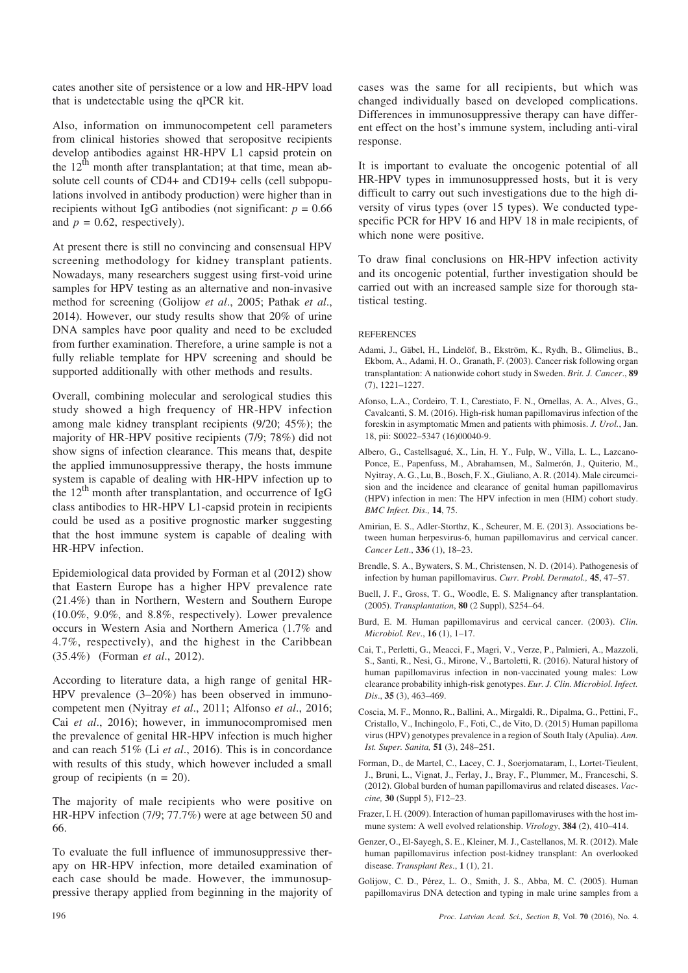cates another site of persistence or a low and HR-HPV load that is undetectable using the qPCR kit.

Also, information on immunocompetent cell parameters from clinical histories showed that seropositve recipients develop antibodies against HR-HPV L1 capsid protein on the  $12<sup>th</sup>$  month after transplantation; at that time, mean absolute cell counts of CD4+ and CD19+ cells (cell subpopulations involved in antibody production) were higher than in recipients without IgG antibodies (not significant:  $p = 0.66$ and  $p = 0.62$ , respectively).

At present there is still no convincing and consensual HPV screening methodology for kidney transplant patients. Nowadays, many researchers suggest using first-void urine samples for HPV testing as an alternative and non-invasive method for screening (Golijow *et al*., 2005; Pathak *et al*., 2014). However, our study results show that 20% of urine DNA samples have poor quality and need to be excluded from further examination. Therefore, a urine sample is not a fully reliable template for HPV screening and should be supported additionally with other methods and results.

Overall, combining molecular and serological studies this study showed a high frequency of HR-HPV infection among male kidney transplant recipients (9/20; 45%); the majority of HR-HPV positive recipients (7/9; 78%) did not show signs of infection clearance. This means that, despite the applied immunosuppressive therapy, the hosts immune system is capable of dealing with HR-HPV infection up to the  $12<sup>th</sup>$  month after transplantation, and occurrence of IgG class antibodies to HR-HPV L1-capsid protein in recipients could be used as a positive prognostic marker suggesting that the host immune system is capable of dealing with HR-HPV infection.

Epidemiological data provided by Forman et al (2012) show that Eastern Europe has a higher HPV prevalence rate (21.4%) than in Northern, Western and Southern Europe (10.0%, 9.0%, and 8.8%, respectively). Lower prevalence occurs in Western Asia and Northern America (1.7% and 4.7%, respectively), and the highest in the Caribbean (35.4%) (Forman *et al*., 2012).

According to literature data, a high range of genital HR-HPV prevalence (3–20%) has been observed in immunocompetent men (Nyitray *et al*., 2011; Alfonso *et al*., 2016; Cai *et al*., 2016); however, in immunocompromised men the prevalence of genital HR-HPV infection is much higher and can reach 51% (Li *et al*., 2016). This is in concordance with results of this study, which however included a small group of recipients  $(n = 20)$ .

The majority of male recipients who were positive on HR-HPV infection (7/9; 77.7%) were at age between 50 and 66.

To evaluate the full influence of immunosuppressive therapy on HR-HPV infection, more detailed examination of each case should be made. However, the immunosuppressive therapy applied from beginning in the majority of cases was the same for all recipients, but which was changed individually based on developed complications. Differences in immunosuppressive therapy can have different effect on the host's immune system, including anti-viral response.

It is important to evaluate the oncogenic potential of all HR-HPV types in immunosuppressed hosts, but it is very difficult to carry out such investigations due to the high diversity of virus types (over 15 types). We conducted typespecific PCR for HPV 16 and HPV 18 in male recipients, of which none were positive.

To draw final conclusions on HR-HPV infection activity and its oncogenic potential, further investigation should be carried out with an increased sample size for thorough statistical testing.

### **REFERENCES**

- Adami, J., Gäbel, H., Lindelöf, B., Ekström, K., Rydh, B., Glimelius, B., Ekbom, A., Adami, H. O., Granath, F. (2003). Cancer risk following organ transplantation: A nationwide cohort study in Sweden. *Brit. J. Cancer*., **89** (7), 1221–1227.
- Afonso, L.A., Cordeiro, T. I., Carestiato, F. N., Ornellas, A. A., Alves, G., Cavalcanti, S. M. (2016). High-risk human papillomavirus infection of the foreskin in asymptomatic Mmen and patients with phimosis. *J. Urol.*, Jan. 18, pii: S0022–5347 (16)00040-9.
- Albero, G., Castellsagué, X., Lin, H. Y., Fulp, W., Villa, L. L., Lazcano-Ponce, E., Papenfuss, M., Abrahamsen, M., Salmerón, J., Quiterio, M., Nyitray, A. G., Lu, B., Bosch, F. X., Giuliano, A. R. (2014). Male circumcision and the incidence and clearance of genital human papillomavirus (HPV) infection in men: The HPV infection in men (HIM) cohort study. *BMC Infect. Dis.,* **14**, 75.
- Amirian, E. S., Adler-Storthz, K., Scheurer, M. E. (2013). Associations between human herpesvirus-6, human papillomavirus and cervical cancer. *Cancer Lett*., **336** (1), 18–23.
- Brendle, S. A., Bywaters, S. M., Christensen, N. D. (2014). Pathogenesis of infection by human papillomavirus. *Curr. Probl. Dermatol.,* **45**, 47–57.
- Buell, J. F., Gross, T. G., Woodle, E. S. Malignancy after transplantation. (2005). *Transplantation*, **80** (2 Suppl), S254–64.
- Burd, E. M. Human papillomavirus and cervical cancer. (2003). *Clin. Microbiol. Rev*., **16** (1), 1–17.
- Cai, T., Perletti, G., Meacci, F., Magri, V., Verze, P., Palmieri, A., Mazzoli, S., Santi, R., Nesi, G., Mirone, V., Bartoletti, R. (2016). Natural history of human papillomavirus infection in non-vaccinated young males: Low clearance probability inhigh-risk genotypes. *Eur. J. Clin. Microbiol. Infect. Dis*., **35** (3), 463–469.
- Coscia, M. F., Monno, R., Ballini, A., Mirgaldi, R., Dipalma, G., Pettini, F., Cristallo, V., Inchingolo, F., Foti, C., de Vito, D. (2015) Human papilloma virus (HPV) genotypes prevalence in a region of South Italy (Apulia). *Ann. Ist. Super. Sanita,* **51** (3), 248–251.
- Forman, D., de Martel, C., Lacey, C. J., Soerjomataram, I., Lortet-Tieulent, J., Bruni, L., Vignat, J., Ferlay, J., Bray, F., Plummer, M., Franceschi, S. (2012). Global burden of human papillomavirus and related diseases. *Vaccine,* **30** (Suppl 5), F12–23.
- Frazer, I. H. (2009). Interaction of human papillomaviruses with the host immune system: A well evolved relationship. *Virology*, **384** (2), 410–414.
- Genzer, O., El-Sayegh, S. E., Kleiner, M. J., Castellanos, M. R. (2012). Male human papillomavirus infection post-kidney transplant: An overlooked disease. *Transplant Res*., **1** (1), 21.
- Golijow, C. D., Pérez, L. O., Smith, J. S., Abba, M. C. (2005). Human papillomavirus DNA detection and typing in male urine samples from a